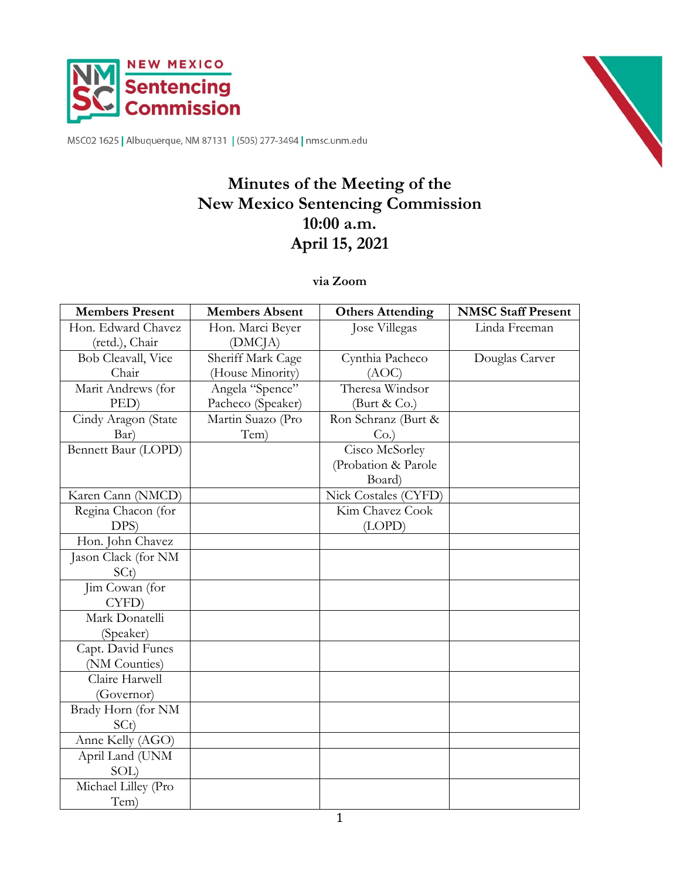

MSC02 1625 | Albuquerque, NM 87131 | (505) 277-3494 | nmsc.unm.edu

# **Minutes of the Meeting of the New Mexico Sentencing Commission 10:00 a.m. April 15, 2021**

**via Zoom**

| <b>Members Present</b> | <b>Members Absent</b> | <b>Others Attending</b> | <b>NMSC Staff Present</b> |
|------------------------|-----------------------|-------------------------|---------------------------|
| Hon. Edward Chavez     | Hon. Marci Beyer      | Jose Villegas           | Linda Freeman             |
| (retd.), Chair         | (DMC <sub>IA</sub> )  |                         |                           |
| Bob Cleavall, Vice     | Sheriff Mark Cage     | Cynthia Pacheco         | Douglas Carver            |
| Chair                  | (House Minority)      | (AOC)                   |                           |
| Marit Andrews (for     | Angela "Spence"       | Theresa Windsor         |                           |
| PED)                   | Pacheco (Speaker)     | (Burt $& Co.$ )         |                           |
| Cindy Aragon (State    | Martin Suazo (Pro     | Ron Schranz (Burt &     |                           |
| Bar)                   | Tem)                  | Co.                     |                           |
| Bennett Baur (LOPD)    |                       | Cisco McSorley          |                           |
|                        |                       | (Probation & Parole     |                           |
|                        |                       | Board)                  |                           |
| Karen Cann (NMCD)      |                       | Nick Costales (CYFD)    |                           |
| Regina Chacon (for     |                       | Kim Chavez Cook         |                           |
| DPS)                   |                       | (LOPD)                  |                           |
| Hon. John Chavez       |                       |                         |                           |
| Jason Clack (for NM    |                       |                         |                           |
| SCt)                   |                       |                         |                           |
| Jim Cowan (for         |                       |                         |                           |
| CYFD)                  |                       |                         |                           |
| Mark Donatelli         |                       |                         |                           |
| (Speaker)              |                       |                         |                           |
| Capt. David Funes      |                       |                         |                           |
| (NM Counties)          |                       |                         |                           |
| Claire Harwell         |                       |                         |                           |
| (Governor)             |                       |                         |                           |
| Brady Horn (for NM     |                       |                         |                           |
| SCt)                   |                       |                         |                           |
| Anne Kelly (AGO)       |                       |                         |                           |
| April Land (UNM        |                       |                         |                           |
| SOL)                   |                       |                         |                           |
| Michael Lilley (Pro    |                       |                         |                           |
| Tem)                   |                       |                         |                           |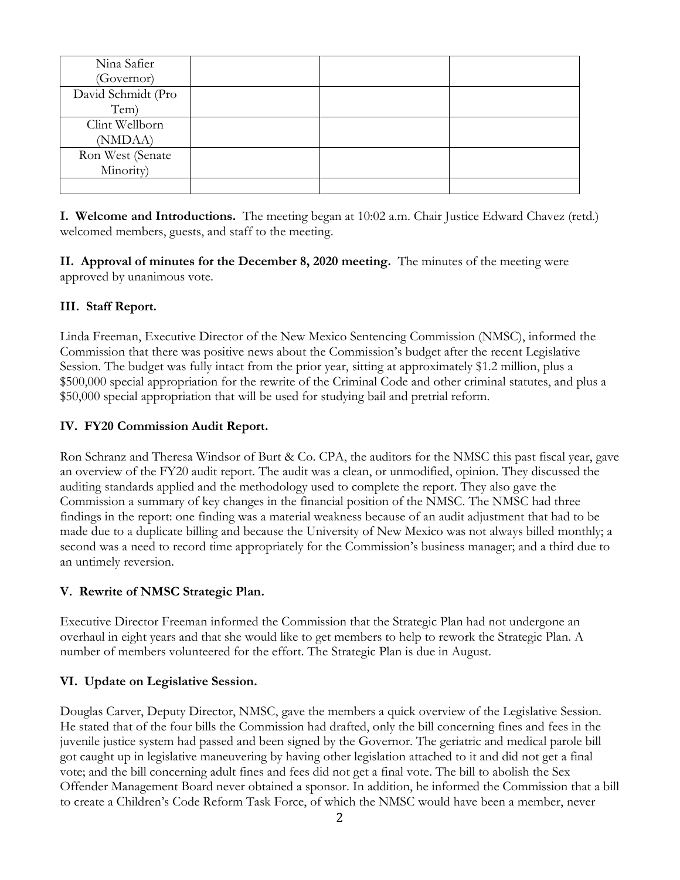| Nina Safier        |  |  |
|--------------------|--|--|
| (Governor)         |  |  |
| David Schmidt (Pro |  |  |
| Tem)               |  |  |
| Clint Wellborn     |  |  |
| (NMDAA)            |  |  |
| Ron West (Senate   |  |  |
| Minority)          |  |  |
|                    |  |  |

**I. Welcome and Introductions.** The meeting began at 10:02 a.m. Chair Justice Edward Chavez (retd.) welcomed members, guests, and staff to the meeting.

**II. Approval of minutes for the December 8, 2020 meeting.** The minutes of the meeting were approved by unanimous vote.

## **III. Staff Report.**

Linda Freeman, Executive Director of the New Mexico Sentencing Commission (NMSC), informed the Commission that there was positive news about the Commission's budget after the recent Legislative Session. The budget was fully intact from the prior year, sitting at approximately \$1.2 million, plus a \$500,000 special appropriation for the rewrite of the Criminal Code and other criminal statutes, and plus a \$50,000 special appropriation that will be used for studying bail and pretrial reform.

## **IV. FY20 Commission Audit Report.**

Ron Schranz and Theresa Windsor of Burt & Co. CPA, the auditors for the NMSC this past fiscal year, gave an overview of the FY20 audit report. The audit was a clean, or unmodified, opinion. They discussed the auditing standards applied and the methodology used to complete the report. They also gave the Commission a summary of key changes in the financial position of the NMSC. The NMSC had three findings in the report: one finding was a material weakness because of an audit adjustment that had to be made due to a duplicate billing and because the University of New Mexico was not always billed monthly; a second was a need to record time appropriately for the Commission's business manager; and a third due to an untimely reversion.

## **V. Rewrite of NMSC Strategic Plan.**

Executive Director Freeman informed the Commission that the Strategic Plan had not undergone an overhaul in eight years and that she would like to get members to help to rework the Strategic Plan. A number of members volunteered for the effort. The Strategic Plan is due in August.

## **VI. Update on Legislative Session.**

Douglas Carver, Deputy Director, NMSC, gave the members a quick overview of the Legislative Session. He stated that of the four bills the Commission had drafted, only the bill concerning fines and fees in the juvenile justice system had passed and been signed by the Governor. The geriatric and medical parole bill got caught up in legislative maneuvering by having other legislation attached to it and did not get a final vote; and the bill concerning adult fines and fees did not get a final vote. The bill to abolish the Sex Offender Management Board never obtained a sponsor. In addition, he informed the Commission that a bill to create a Children's Code Reform Task Force, of which the NMSC would have been a member, never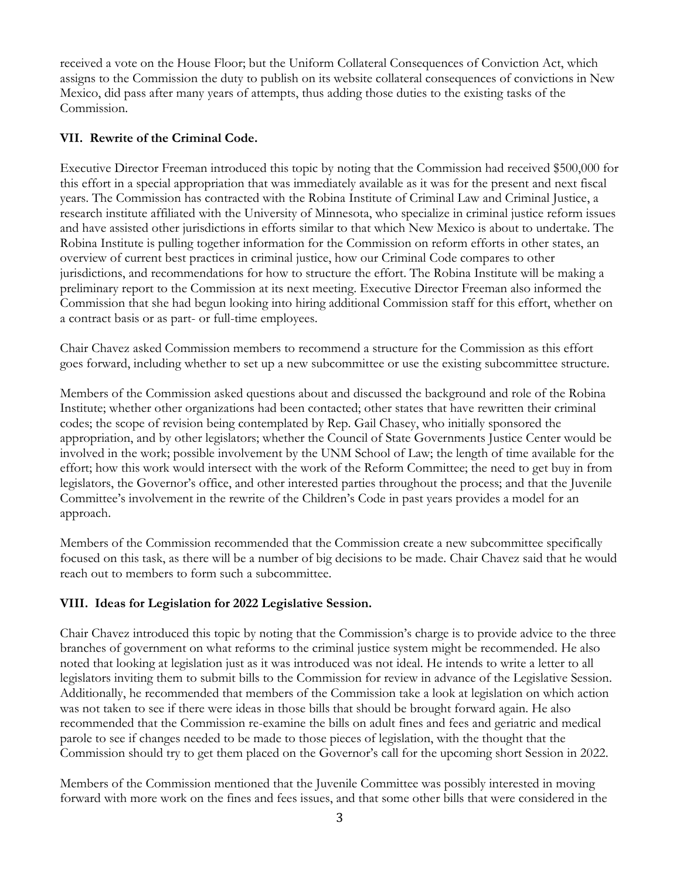received a vote on the House Floor; but the Uniform Collateral Consequences of Conviction Act, which assigns to the Commission the duty to publish on its website collateral consequences of convictions in New Mexico, did pass after many years of attempts, thus adding those duties to the existing tasks of the Commission.

## **VII. Rewrite of the Criminal Code.**

Executive Director Freeman introduced this topic by noting that the Commission had received \$500,000 for this effort in a special appropriation that was immediately available as it was for the present and next fiscal years. The Commission has contracted with the Robina Institute of Criminal Law and Criminal Justice, a research institute affiliated with the University of Minnesota, who specialize in criminal justice reform issues and have assisted other jurisdictions in efforts similar to that which New Mexico is about to undertake. The Robina Institute is pulling together information for the Commission on reform efforts in other states, an overview of current best practices in criminal justice, how our Criminal Code compares to other jurisdictions, and recommendations for how to structure the effort. The Robina Institute will be making a preliminary report to the Commission at its next meeting. Executive Director Freeman also informed the Commission that she had begun looking into hiring additional Commission staff for this effort, whether on a contract basis or as part- or full-time employees.

Chair Chavez asked Commission members to recommend a structure for the Commission as this effort goes forward, including whether to set up a new subcommittee or use the existing subcommittee structure.

Members of the Commission asked questions about and discussed the background and role of the Robina Institute; whether other organizations had been contacted; other states that have rewritten their criminal codes; the scope of revision being contemplated by Rep. Gail Chasey, who initially sponsored the appropriation, and by other legislators; whether the Council of State Governments Justice Center would be involved in the work; possible involvement by the UNM School of Law; the length of time available for the effort; how this work would intersect with the work of the Reform Committee; the need to get buy in from legislators, the Governor's office, and other interested parties throughout the process; and that the Juvenile Committee's involvement in the rewrite of the Children's Code in past years provides a model for an approach.

Members of the Commission recommended that the Commission create a new subcommittee specifically focused on this task, as there will be a number of big decisions to be made. Chair Chavez said that he would reach out to members to form such a subcommittee.

## **VIII. Ideas for Legislation for 2022 Legislative Session.**

Chair Chavez introduced this topic by noting that the Commission's charge is to provide advice to the three branches of government on what reforms to the criminal justice system might be recommended. He also noted that looking at legislation just as it was introduced was not ideal. He intends to write a letter to all legislators inviting them to submit bills to the Commission for review in advance of the Legislative Session. Additionally, he recommended that members of the Commission take a look at legislation on which action was not taken to see if there were ideas in those bills that should be brought forward again. He also recommended that the Commission re-examine the bills on adult fines and fees and geriatric and medical parole to see if changes needed to be made to those pieces of legislation, with the thought that the Commission should try to get them placed on the Governor's call for the upcoming short Session in 2022.

Members of the Commission mentioned that the Juvenile Committee was possibly interested in moving forward with more work on the fines and fees issues, and that some other bills that were considered in the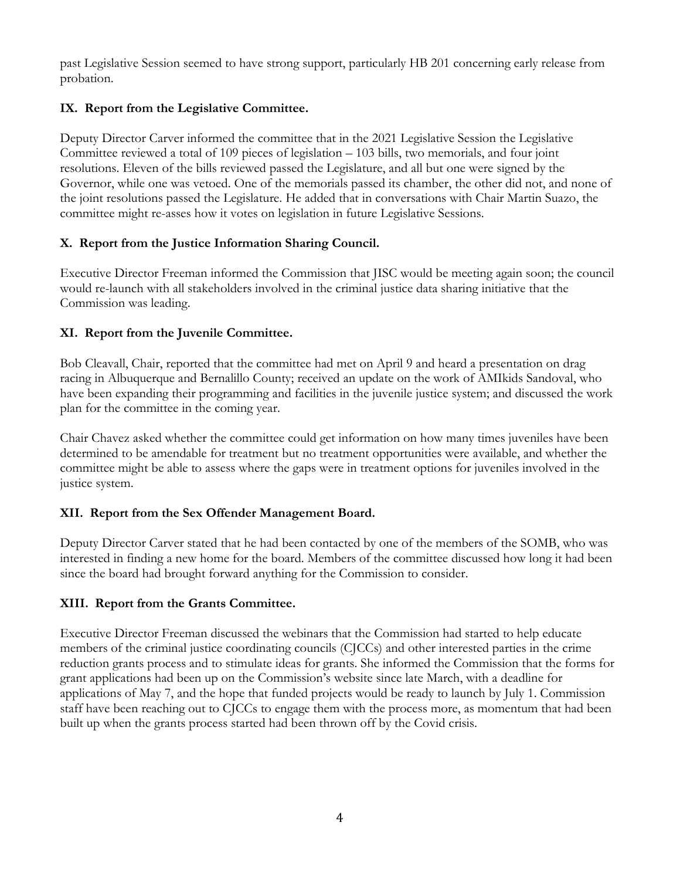past Legislative Session seemed to have strong support, particularly HB 201 concerning early release from probation.

## **IX. Report from the Legislative Committee.**

Deputy Director Carver informed the committee that in the 2021 Legislative Session the Legislative Committee reviewed a total of 109 pieces of legislation – 103 bills, two memorials, and four joint resolutions. Eleven of the bills reviewed passed the Legislature, and all but one were signed by the Governor, while one was vetoed. One of the memorials passed its chamber, the other did not, and none of the joint resolutions passed the Legislature. He added that in conversations with Chair Martin Suazo, the committee might re-asses how it votes on legislation in future Legislative Sessions.

# **X. Report from the Justice Information Sharing Council.**

Executive Director Freeman informed the Commission that JISC would be meeting again soon; the council would re-launch with all stakeholders involved in the criminal justice data sharing initiative that the Commission was leading.

# **XI. Report from the Juvenile Committee.**

Bob Cleavall, Chair, reported that the committee had met on April 9 and heard a presentation on drag racing in Albuquerque and Bernalillo County; received an update on the work of AMIkids Sandoval, who have been expanding their programming and facilities in the juvenile justice system; and discussed the work plan for the committee in the coming year.

Chair Chavez asked whether the committee could get information on how many times juveniles have been determined to be amendable for treatment but no treatment opportunities were available, and whether the committee might be able to assess where the gaps were in treatment options for juveniles involved in the justice system.

# **XII. Report from the Sex Offender Management Board.**

Deputy Director Carver stated that he had been contacted by one of the members of the SOMB, who was interested in finding a new home for the board. Members of the committee discussed how long it had been since the board had brought forward anything for the Commission to consider.

## **XIII. Report from the Grants Committee.**

Executive Director Freeman discussed the webinars that the Commission had started to help educate members of the criminal justice coordinating councils (CJCCs) and other interested parties in the crime reduction grants process and to stimulate ideas for grants. She informed the Commission that the forms for grant applications had been up on the Commission's website since late March, with a deadline for applications of May 7, and the hope that funded projects would be ready to launch by July 1. Commission staff have been reaching out to CJCCs to engage them with the process more, as momentum that had been built up when the grants process started had been thrown off by the Covid crisis.